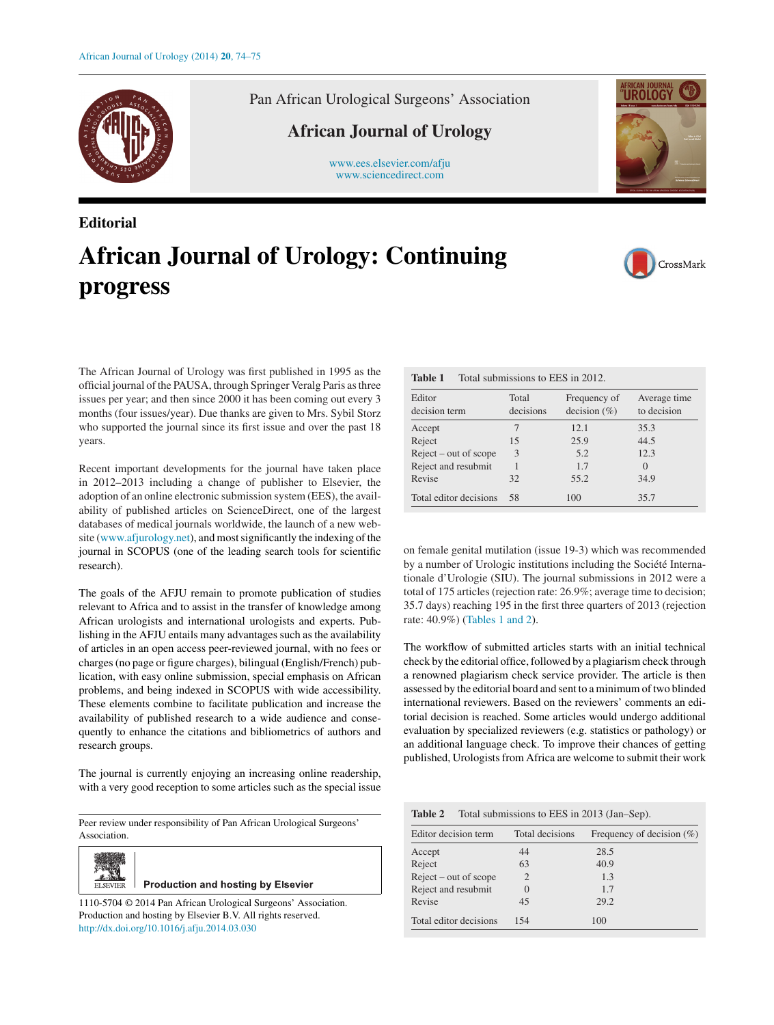

Pan African Urological Surgeons' Association

## **African Journal of Urology**

[www.ees.elsevier.com/afju](http://www.ees.elsevier.com/afju) [www.sciencedirect.com](http://www.sciencedirect.com/science/journal/11105704)



## **Editorial African Journal of Urology: Continuing progress**



The African Journal of Urology was first published in 1995 as the official journal of the PAUSA, through Springer Veralg Paris as three issues per year; and then since 2000 it has been coming out every 3 months (four issues/year). Due thanks are given to Mrs. Sybil Storz who supported the journal since its first issue and over the past 18 years.

Recent important developments for the journal have taken place in 2012–2013 including a change of publisher to Elsevier, the adoption of an online electronic submission system (EES), the availability of published articles on ScienceDirect, one of the largest databases of medical journals worldwide, the launch of a new website ([www.afjurology.net\)](http://www.afjurology.net/), and most significantly the indexing of the journal in SCOPUS (one of the leading search tools for scientific research).

The goals of the AFJU remain to promote publication of studies relevant to Africa and to assist in the transfer of knowledge among African urologists and international urologists and experts. Publishing in the AFJU entails many advantages such as the availability of articles in an open access peer-reviewed journal, with no fees or charges (no page or figure charges), bilingual (English/French) publication, with easy online submission, special emphasis on African problems, and being indexed in SCOPUS with wide accessibility. These elements combine to facilitate publication and increase the availability of published research to a wide audience and consequently to enhance the citations and bibliometrics of authors and research groups.

The journal is currently enjoying an increasing online readership, with a very good reception to some articles such as the special issue

Peer review under responsibility of Pan African Urological Surgeons' Association.



**Production and hosting by Elsevier** 

1110-5704 © 2014 Pan African Urological Surgeons' Association. Production and hosting by Elsevier B.V. All rights reserved. [http://dx.doi.org/10.1016/j.afju.2014.03.030](dx.doi.org/10.1016/j.afju.2014.03.030)

**Table 1** Total submissions to EES in 2012.

| Editor<br>decision term | Total<br>decisions | Frequency of<br>decision $(\% )$ | Average time<br>to decision |
|-------------------------|--------------------|----------------------------------|-----------------------------|
| Accept                  |                    | 12.1                             | 35.3                        |
| Reject                  | 15                 | 25.9                             | 44.5                        |
| $Reject - out of scope$ | 3                  | 5.2                              | 12.3                        |
| Reject and resubmit     |                    | 1.7                              | $\left( \right)$            |
| Revise                  | 32                 | 55.2                             | 34.9                        |
| Total editor decisions  | 58                 | 100                              | 35.7                        |

on female genital mutilation (issue 19-3) which was recommended by a number of Urologic institutions including the Société Internationale d'Urologie (SIU). The journal submissions in 2012 were a total of 175 articles (rejection rate: 26.9%; average time to decision; 35.7 days) reaching 195 in the first three quarters of 2013 (rejection rate: 40.9%) (Tables 1 and 2).

The workflow of submitted articles starts with an initial technical check by the editorial office, followed by a plagiarism check through a renowned plagiarism check service provider. The article is then assessed by the editorial board and sent to a minimum of two blinded international reviewers. Based on the reviewers' comments an editorial decision is reached. Some articles would undergo additional evaluation by specialized reviewers (e.g. statistics or pathology) or an additional language check. To improve their chances of getting published, Urologists from Africa are welcome to submit their work

| <b>Table 2</b> | Total submissions to EES in 2013 (Jan–Sep). |  |
|----------------|---------------------------------------------|--|
|----------------|---------------------------------------------|--|

| Editor decision term    | Total decisions | Frequency of decision $(\% )$ |
|-------------------------|-----------------|-------------------------------|
| Accept                  | 44              | 28.5                          |
| Reject                  | 63              | 40.9                          |
| $Reject - out of scope$ | $\overline{2}$  | 1.3                           |
| Reject and resubmit     | 0               | 1.7                           |
| Revise                  | 45              | 29.2                          |
| Total editor decisions  | 154             | 100                           |